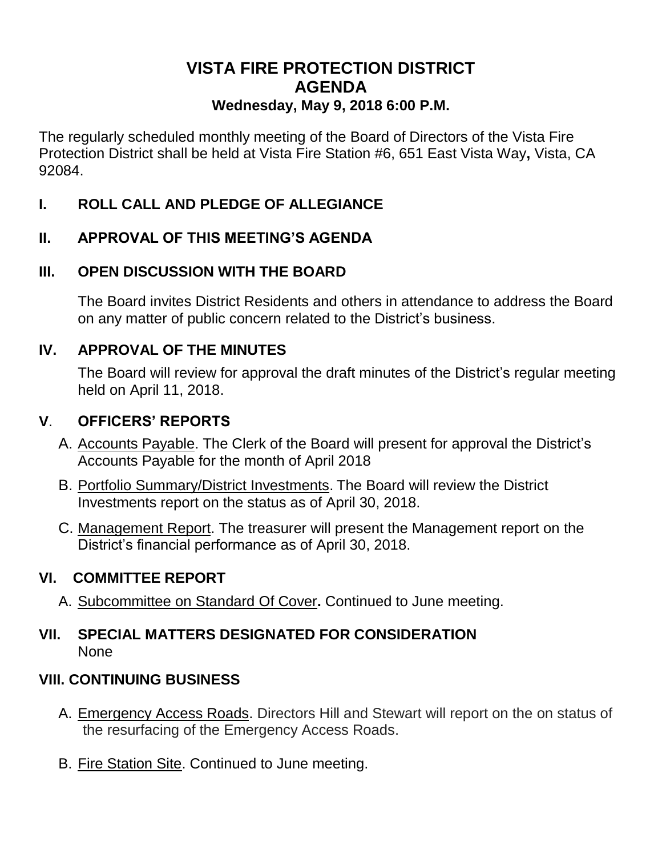# **VISTA FIRE PROTECTION DISTRICT AGENDA Wednesday, May 9, 2018 6:00 P.M.**

The regularly scheduled monthly meeting of the Board of Directors of the Vista Fire Protection District shall be held at Vista Fire Station #6, 651 East Vista Way**,** Vista, CA 92084.

## **I. ROLL CALL AND PLEDGE OF ALLEGIANCE**

## **II. APPROVAL OF THIS MEETING'S AGENDA**

## **III. OPEN DISCUSSION WITH THE BOARD**

The Board invites District Residents and others in attendance to address the Board on any matter of public concern related to the District's business.

## **IV. APPROVAL OF THE MINUTES**

The Board will review for approval the draft minutes of the District's regular meeting held on April 11, 2018.

## **V**. **OFFICERS' REPORTS**

- A. Accounts Payable. The Clerk of the Board will present for approval the District's Accounts Payable for the month of April 2018
- B. Portfolio Summary/District Investments. The Board will review the District Investments report on the status as of April 30, 2018.
- C. Management Report. The treasurer will present the Management report on the District's financial performance as of April 30, 2018.

# **VI. COMMITTEE REPORT**

A. Subcommittee on Standard Of Cover**.** Continued to June meeting.

## **VII. SPECIAL MATTERS DESIGNATED FOR CONSIDERATION** None

## **VIII. CONTINUING BUSINESS**

- A. Emergency Access Roads. Directors Hill and Stewart will report on the on status of the resurfacing of the Emergency Access Roads.
- B. Fire Station Site. Continued to June meeting.